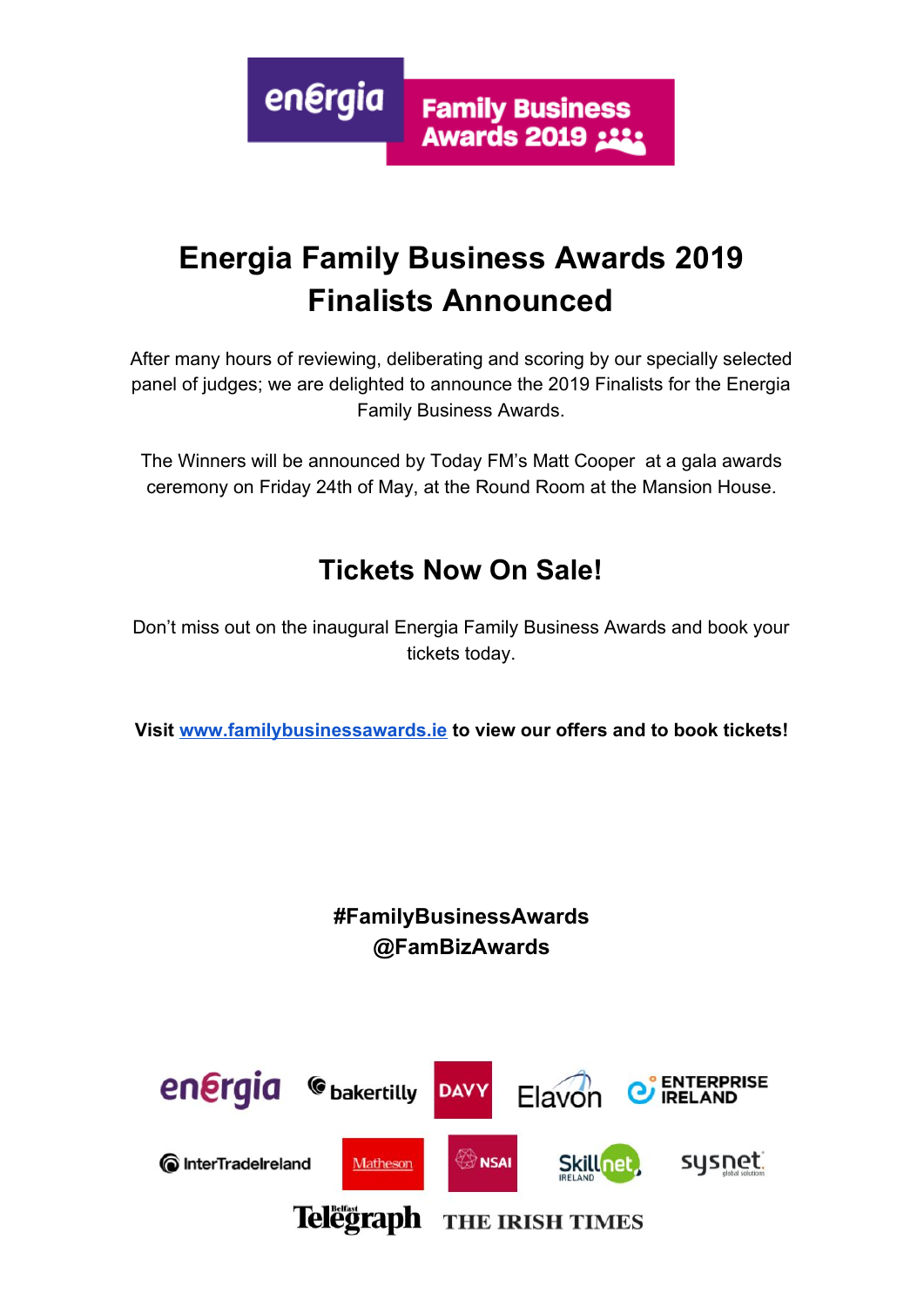energia **Family Business Awards 2019 ::::** 

# **Energia Family Business Awards 2019 Finalists Announced**

After many hours of reviewing, deliberating and scoring by our specially selected panel of judges; we are delighted to announce the 2019 Finalists for the Energia Family Business Awards.

The Winners will be announced by Today FM's Matt Cooper at a gala awards ceremony on Friday 24th of May, at the Round Room at the Mansion House.

# **Tickets Now On Sale!**

Don't miss out on the inaugural Energia Family Business Awards and book your tickets today.

**Visit [www.familybusinessawards.ie](http://www.familybusinessawards.ie/) to view our offers and to book tickets!**

# **#FamilyBusinessAwards @FamBizAwards**

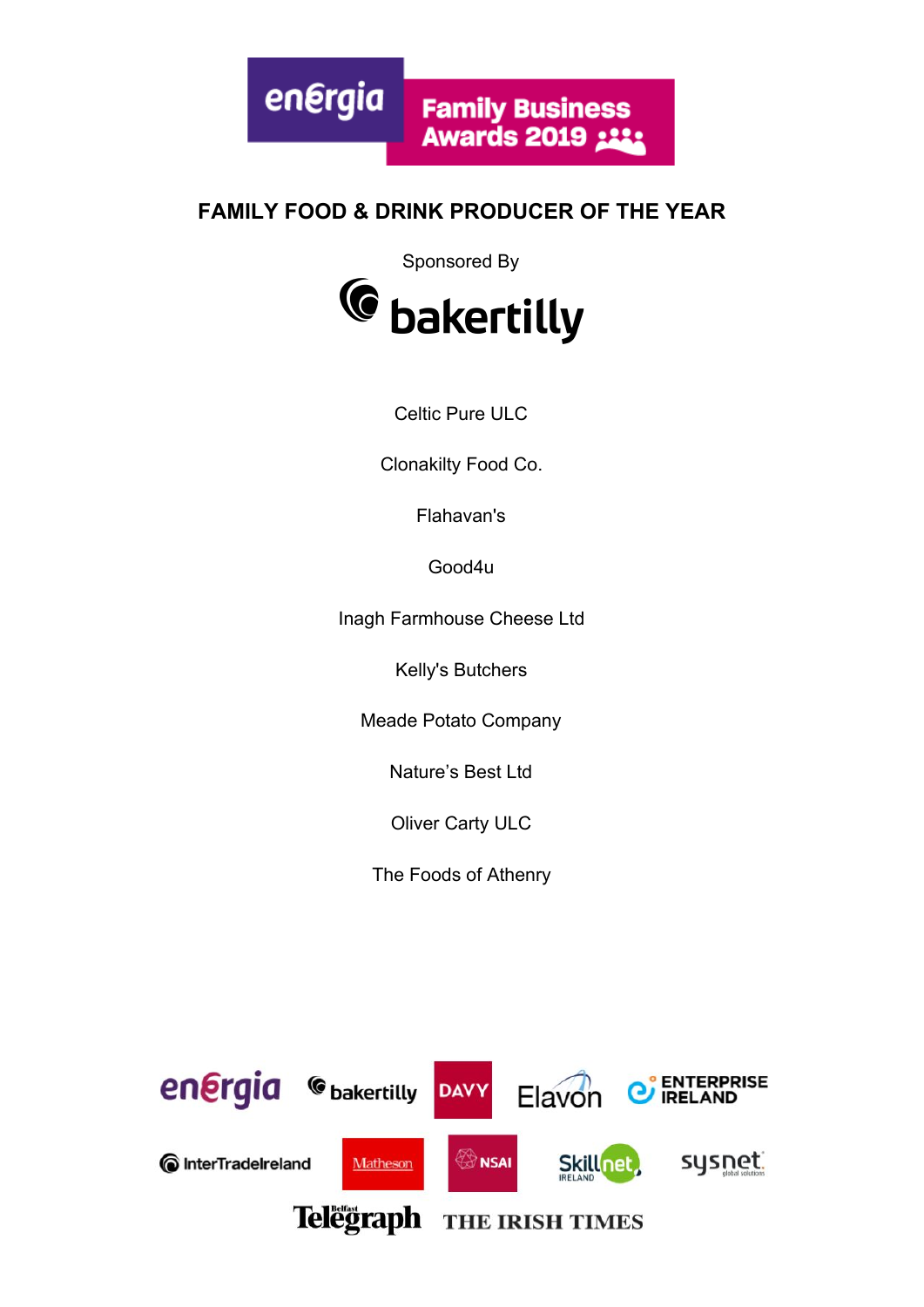

#### **FAMILY FOOD & DRINK PRODUCER OF THE YEAR**

Sponsored By



Celtic Pure ULC

Clonakilty Food Co.

Flahavan's

Good4u

Inagh Farmhouse Cheese Ltd

Kelly's Butchers

Meade Potato Company

Nature's Best Ltd

Oliver Carty ULC

The Foods of Athenry

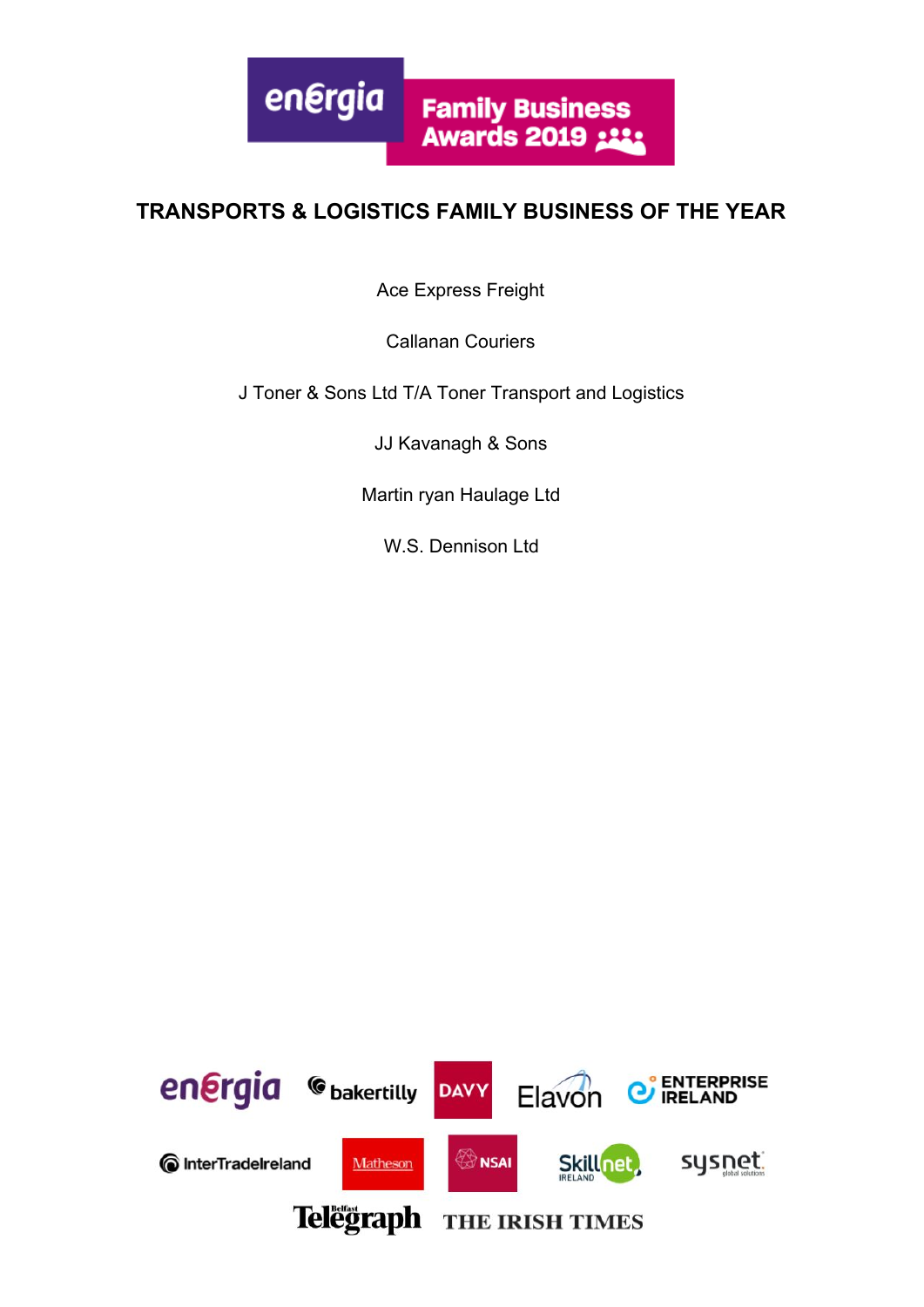

#### **TRANSPORTS & LOGISTICS FAMILY BUSINESS OF THE YEAR**

Ace Express Freight

Callanan Couriers

J Toner & Sons Ltd T/A Toner Transport and Logistics

JJ Kavanagh & Sons

Martin ryan Haulage Ltd

W.S. Dennison Ltd

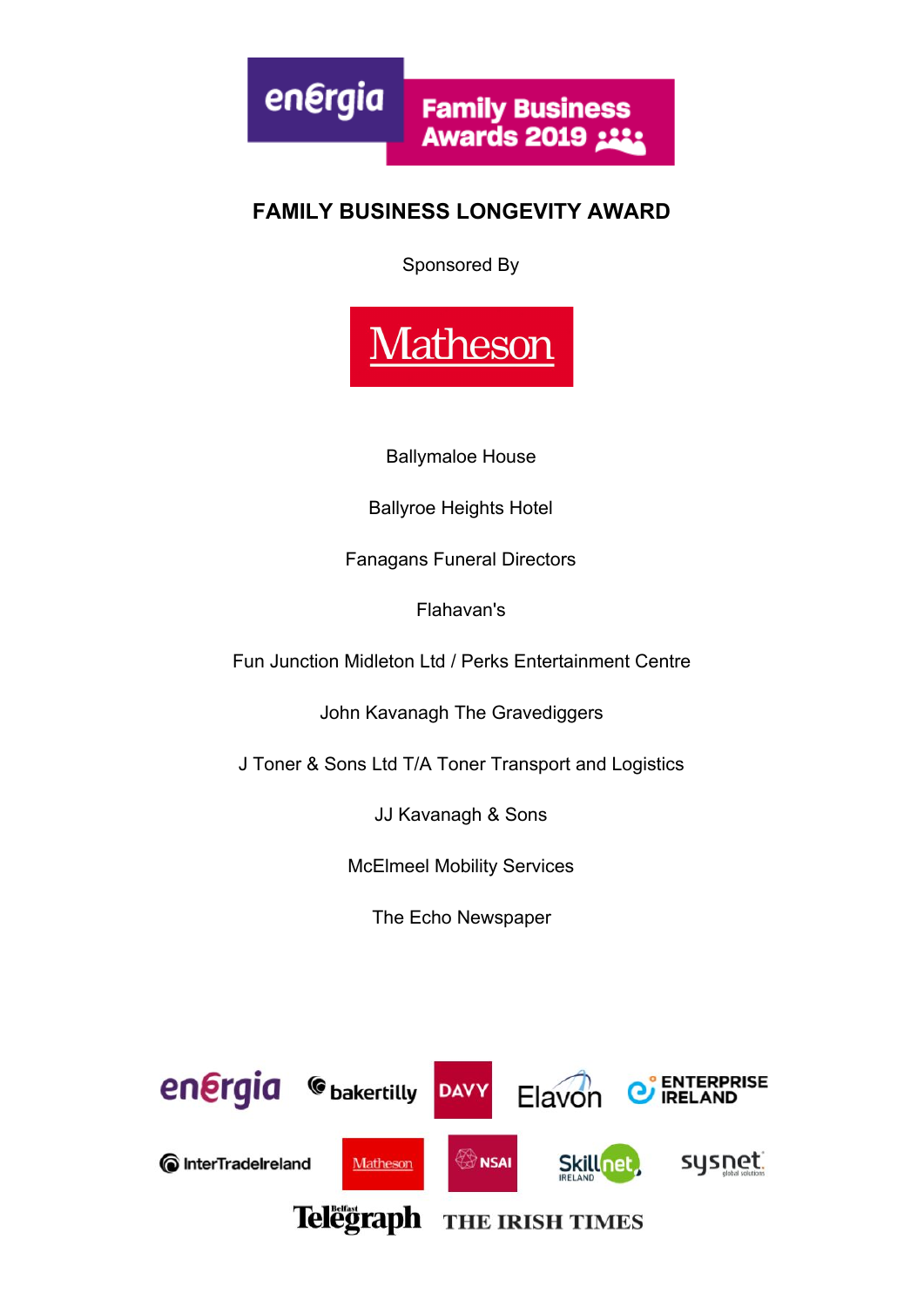energia **Family Business Awards 2019 ::::** 

## **FAMILY BUSINESS LONGEVITY AWARD**

Sponsored By



Ballymaloe House

Ballyroe Heights Hotel

Fanagans Funeral Directors

Flahavan's

Fun Junction Midleton Ltd / Perks Entertainment Centre

John Kavanagh The Gravediggers

J Toner & Sons Ltd T/A Toner Transport and Logistics

JJ Kavanagh & Sons

McElmeel Mobility Services

The Echo Newspaper

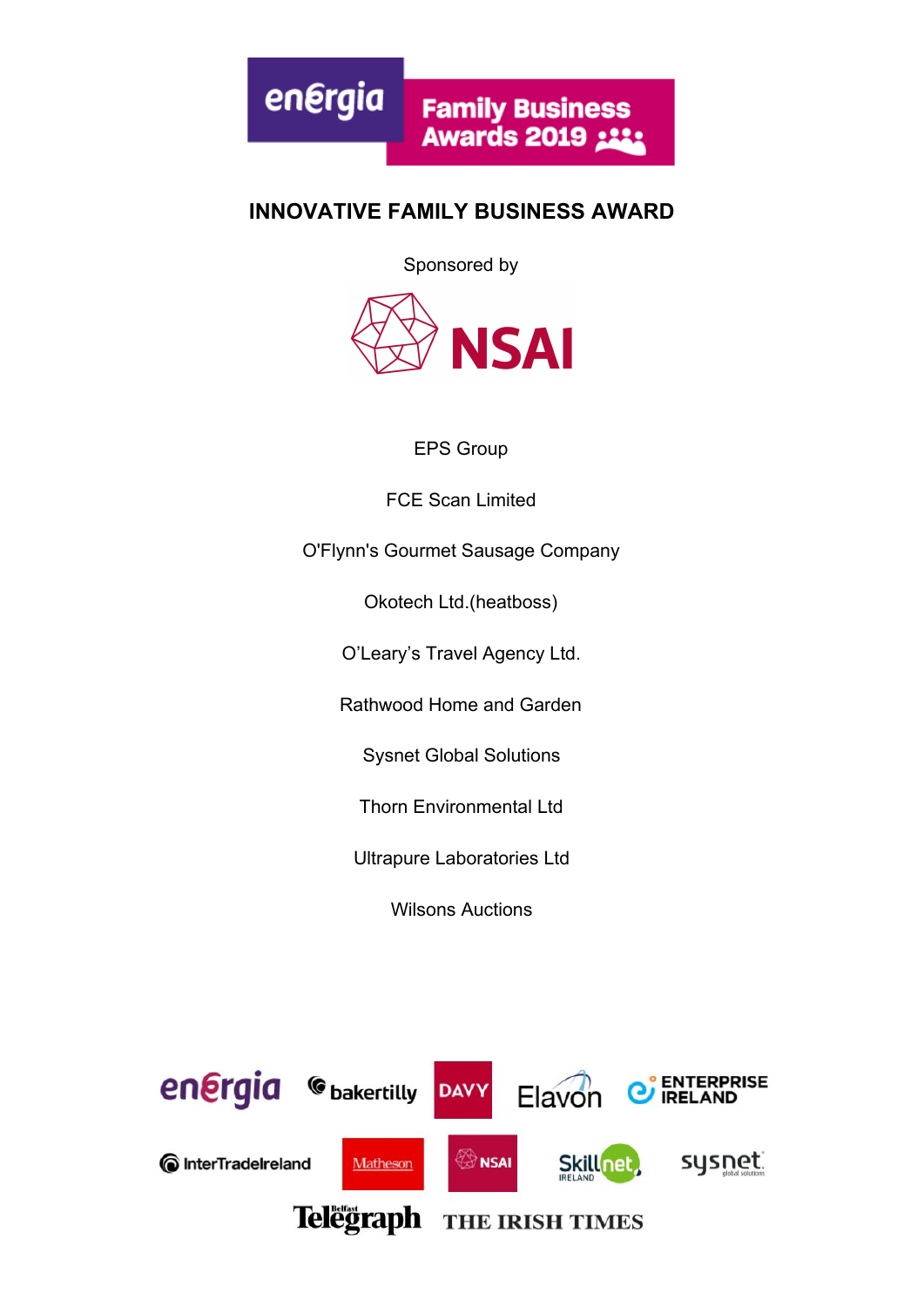

#### **INNOVATIVE FAMILY BUSINESS AWARD**

Sponsored by



#### EPS Group

FCE Scan Limited

O'Flynn's Gourmet Sausage Company

Okotech Ltd.(heatboss)

O'Leary's Travel Agency Ltd.

Rathwood Home and Garden

Sysnet Global Solutions

Thorn Environmental Ltd

Ultrapure Laboratories Ltd

Wilsons Auctions

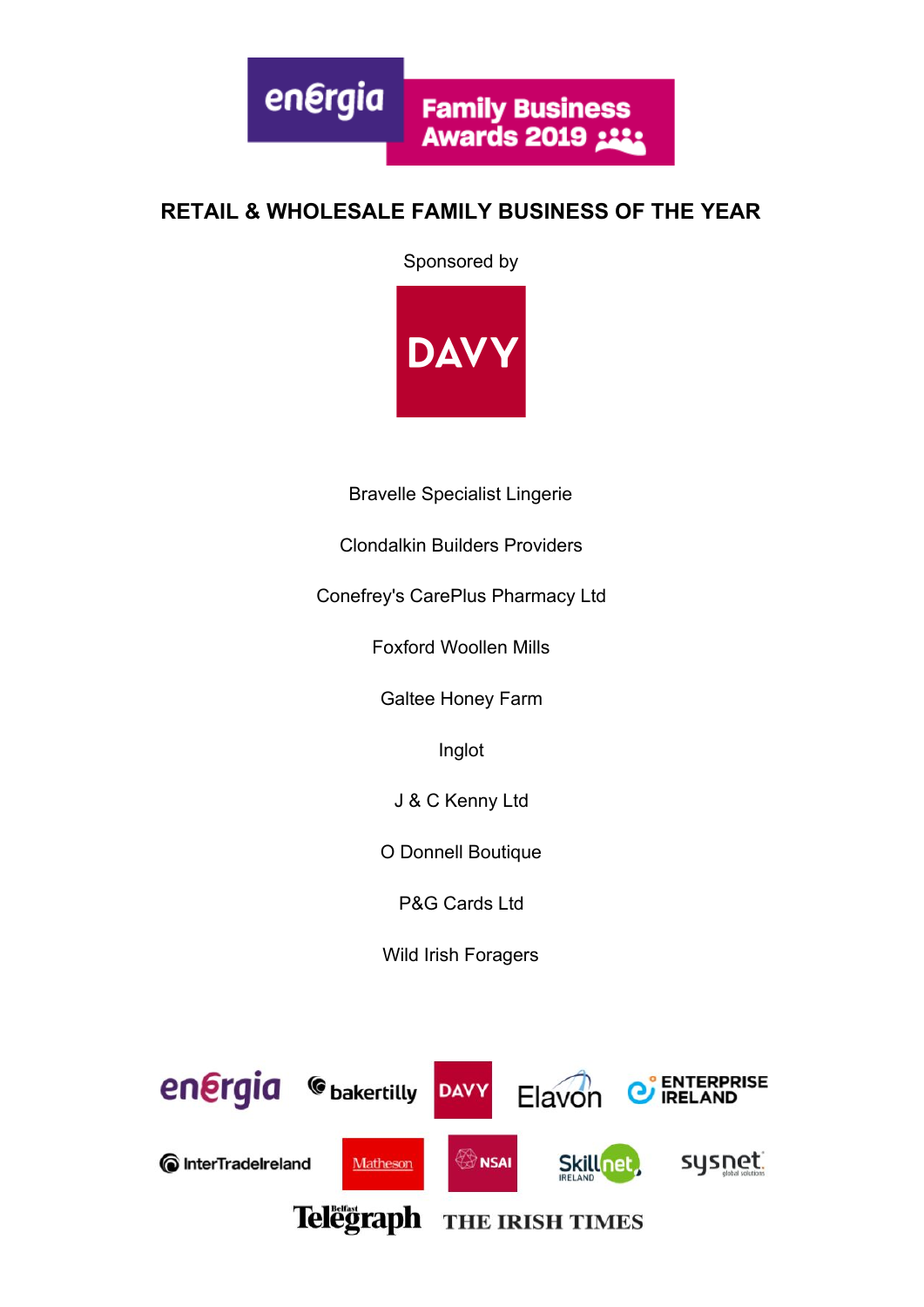energia **Family Business Awards 2019 :::** 

#### **RETAIL & WHOLESALE FAMILY BUSINESS OF THE YEAR**

Sponsored by



Bravelle Specialist Lingerie

Clondalkin Builders Providers

Conefrey's CarePlus Pharmacy Ltd

Foxford Woollen Mills

Galtee Honey Farm

Inglot

J & C Kenny Ltd

O Donnell Boutique

P&G Cards Ltd

Wild Irish Foragers

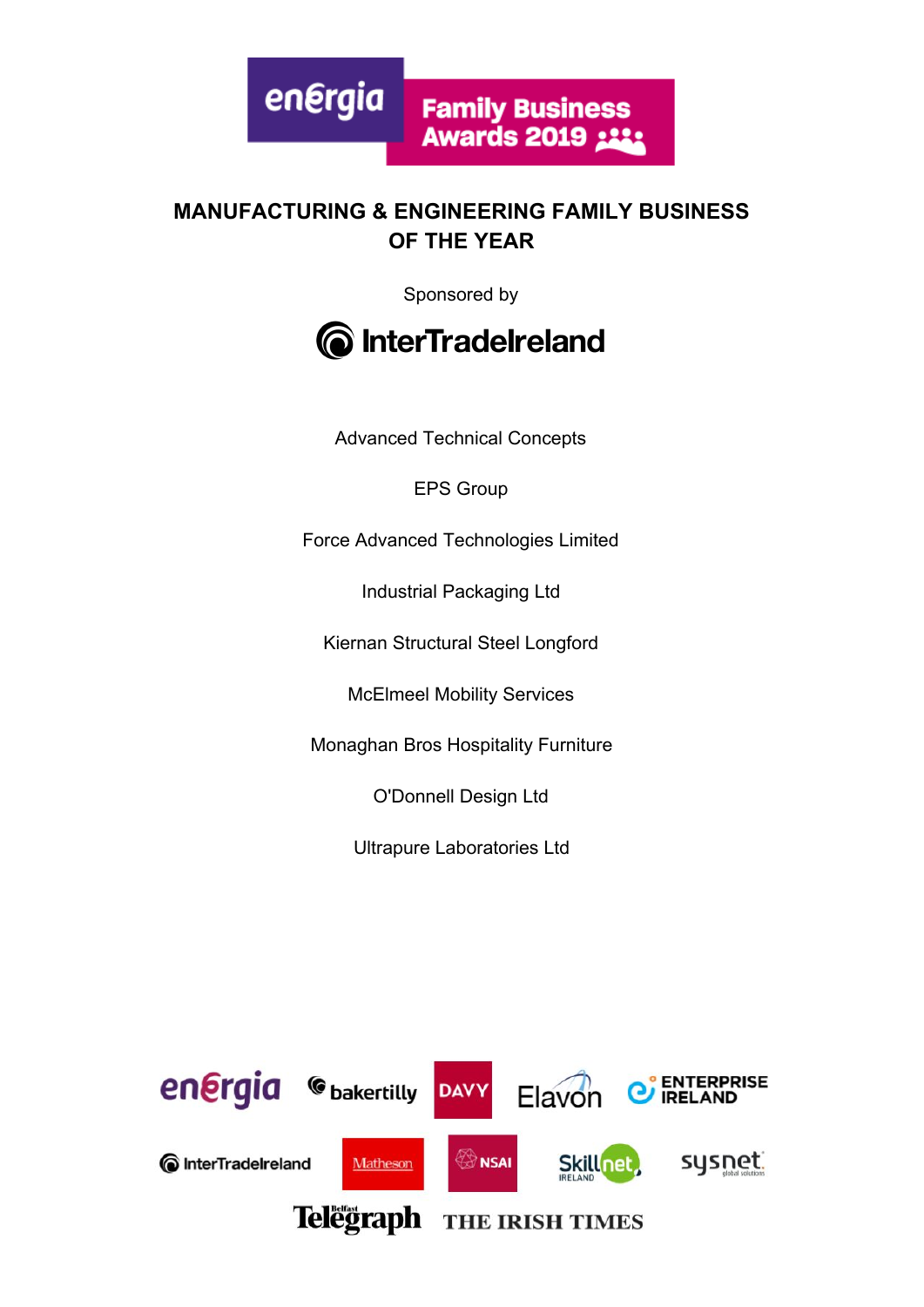

#### **MANUFACTURING & ENGINEERING FAMILY BUSINESS OF THE YEAR**

Sponsored by



Advanced Technical Concepts

EPS Group

Force Advanced Technologies Limited

Industrial Packaging Ltd

Kiernan Structural Steel Longford

McElmeel Mobility Services

Monaghan Bros Hospitality Furniture

O'Donnell Design Ltd

Ultrapure Laboratories Ltd

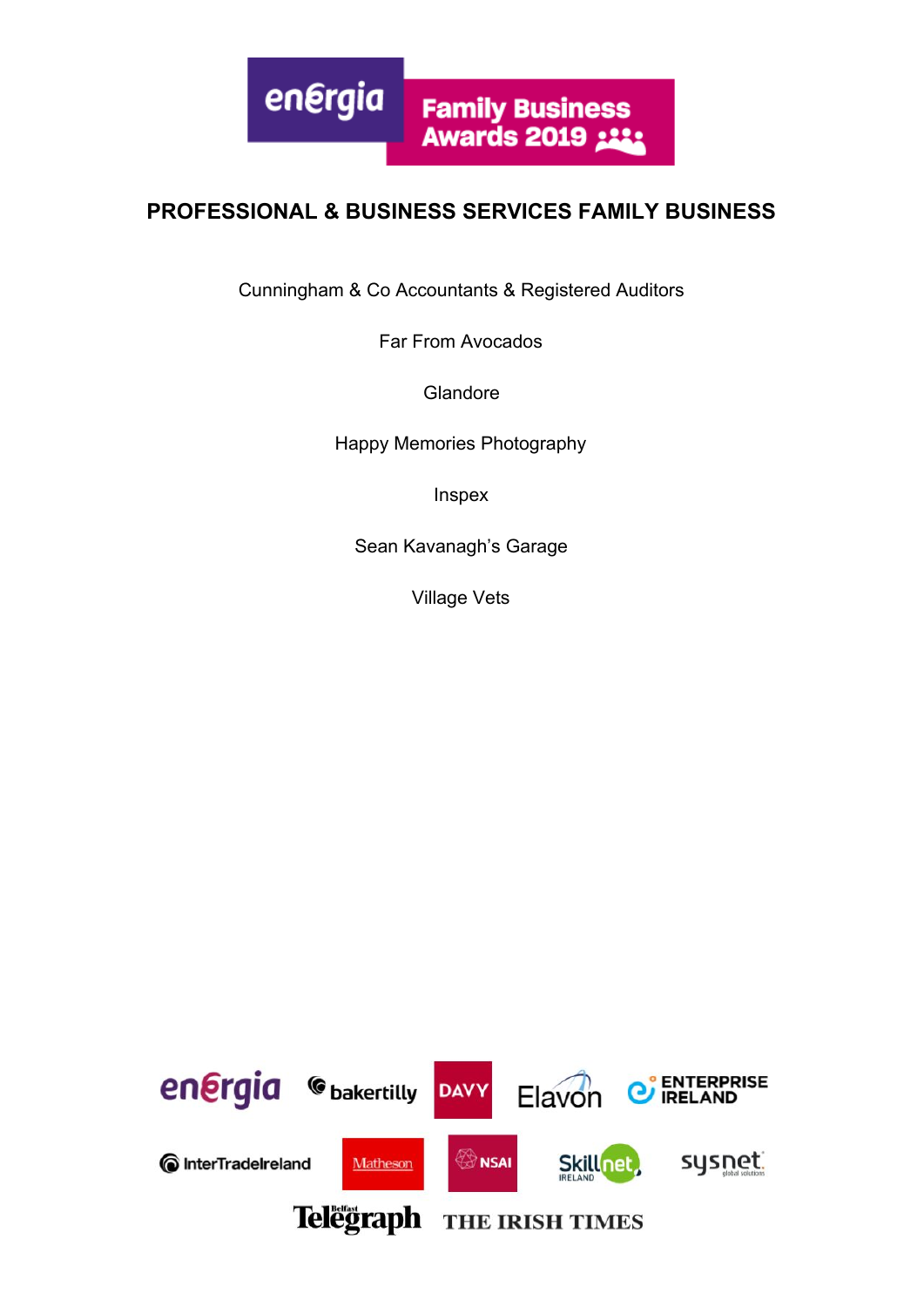

#### **PROFESSIONAL & BUSINESS SERVICES FAMILY BUSINESS**

Cunningham & Co Accountants & Registered Auditors

Far From Avocados

**Glandore** 

Happy Memories Photography

Inspex

Sean Kavanagh's Garage

Village Vets

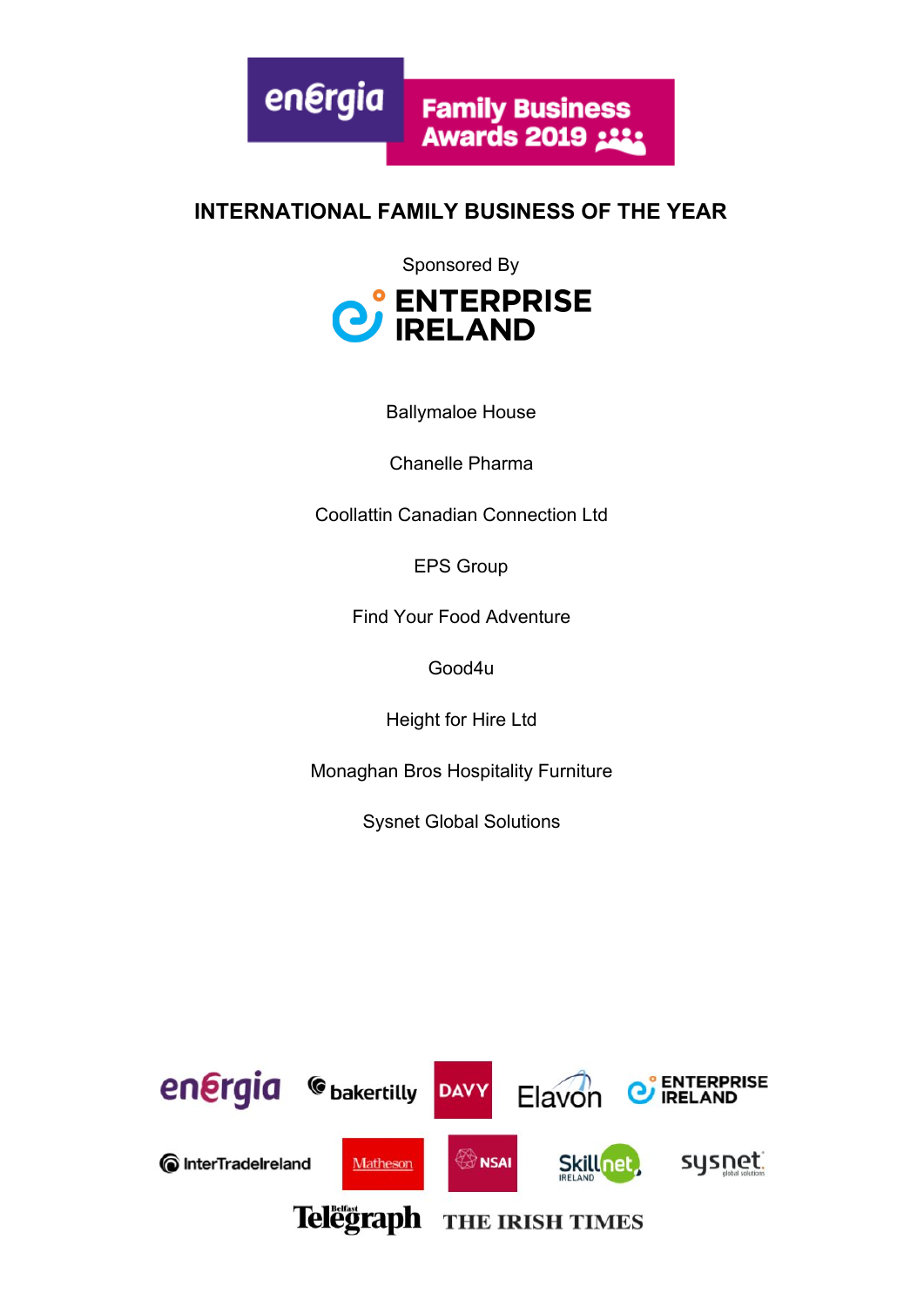energia **Family Business Awards 2019 ::::** 

#### **INTERNATIONAL FAMILY BUSINESS OF THE YEAR**

Sponsored By



Ballymaloe House

Chanelle Pharma

Coollattin Canadian Connection Ltd

EPS Group

Find Your Food Adventure

Good4u

Height for Hire Ltd

Monaghan Bros Hospitality Furniture

Sysnet Global Solutions

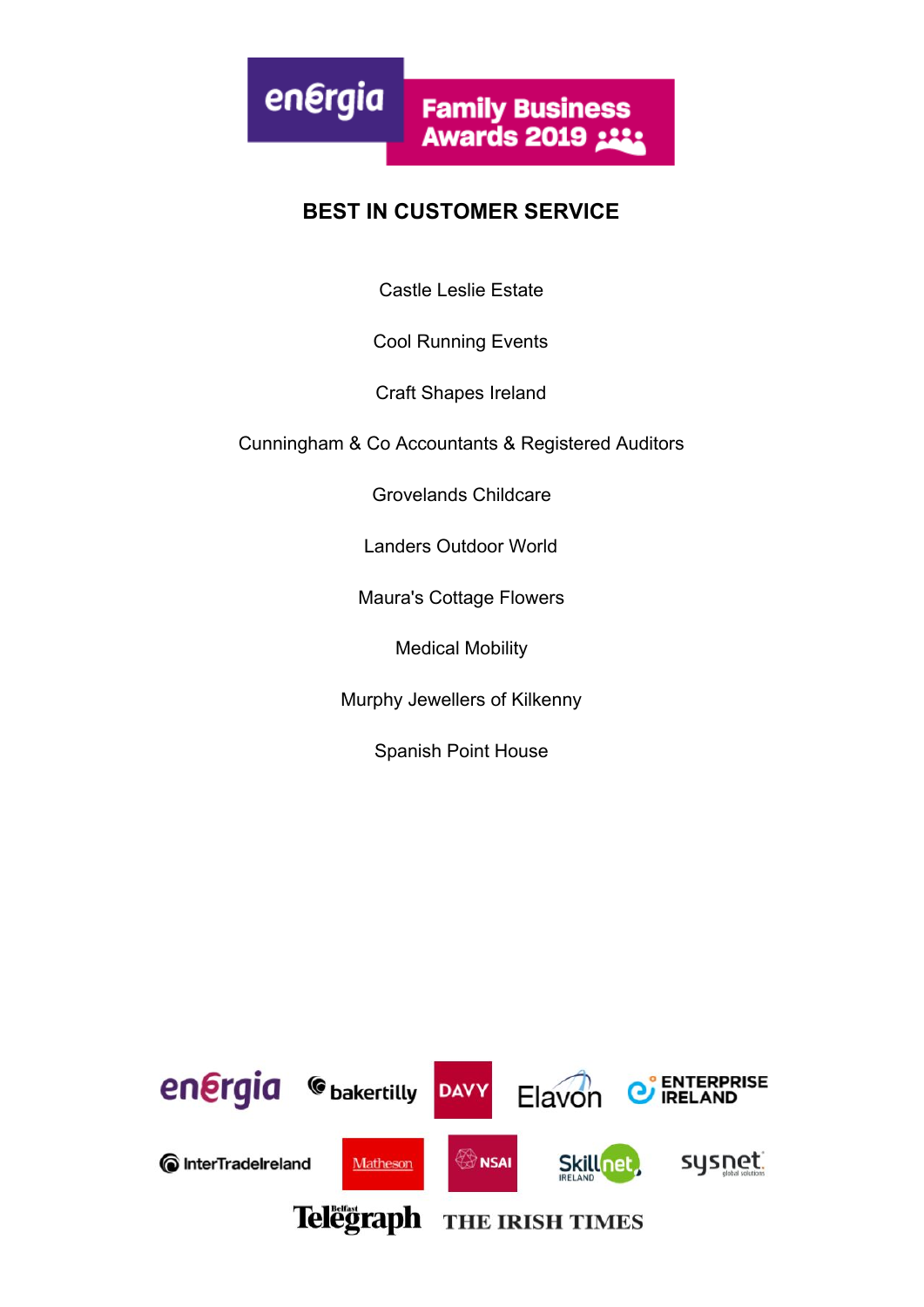

#### **BEST IN CUSTOMER SERVICE**

Castle Leslie Estate

Cool Running Events

Craft Shapes Ireland

Cunningham & Co Accountants & Registered Auditors

Grovelands Childcare

Landers Outdoor World

Maura's Cottage Flowers

Medical Mobility

Murphy Jewellers of Kilkenny

Spanish Point House

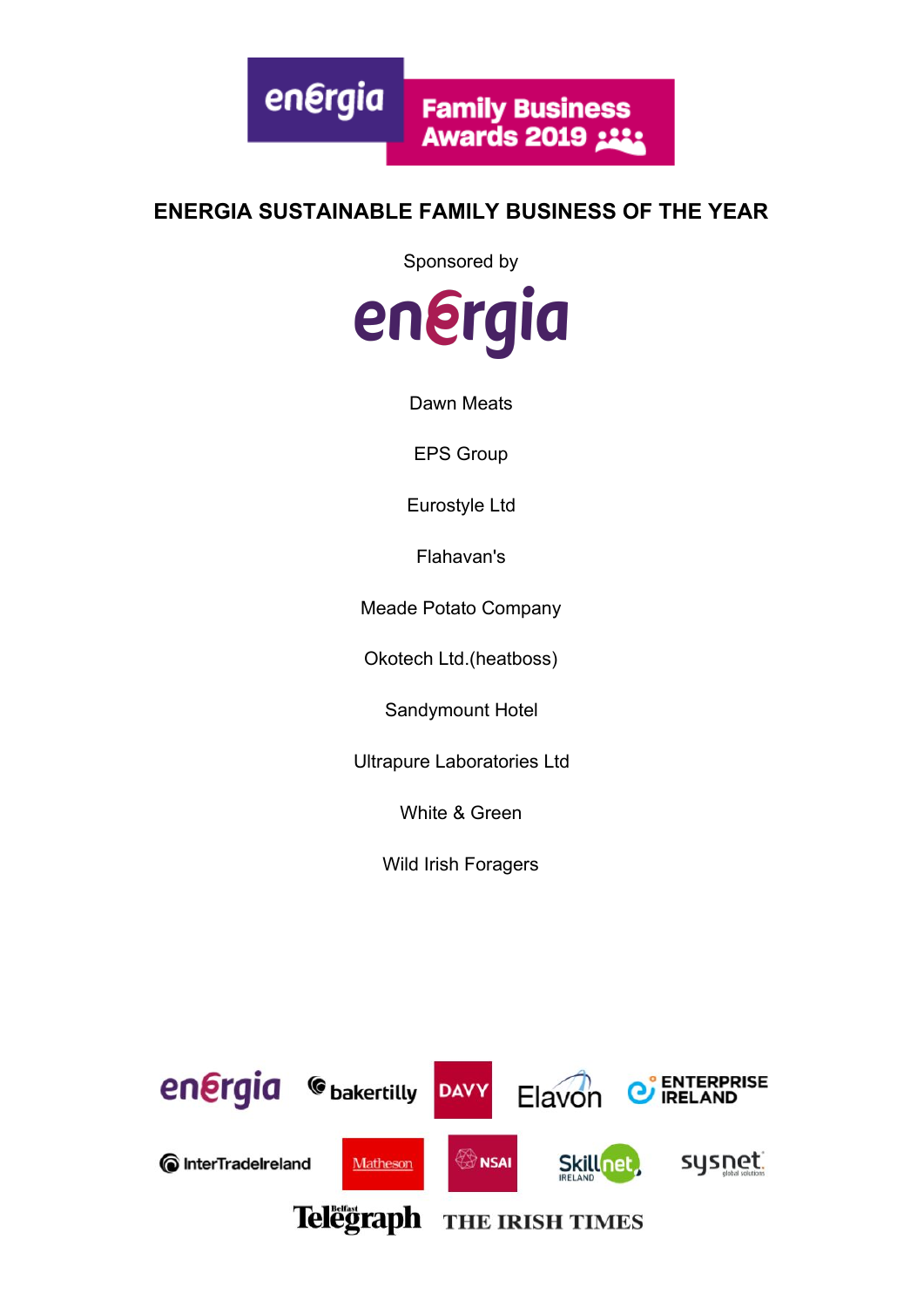#### **ENERGIA SUSTAINABLE FAMILY BUSINESS OF THE YEAR**

Sponsored by



Dawn Meats

EPS Group

Eurostyle Ltd

Flahavan's

Meade Potato Company

Okotech Ltd.(heatboss)

Sandymount Hotel

Ultrapure Laboratories Ltd

White & Green

Wild Irish Foragers

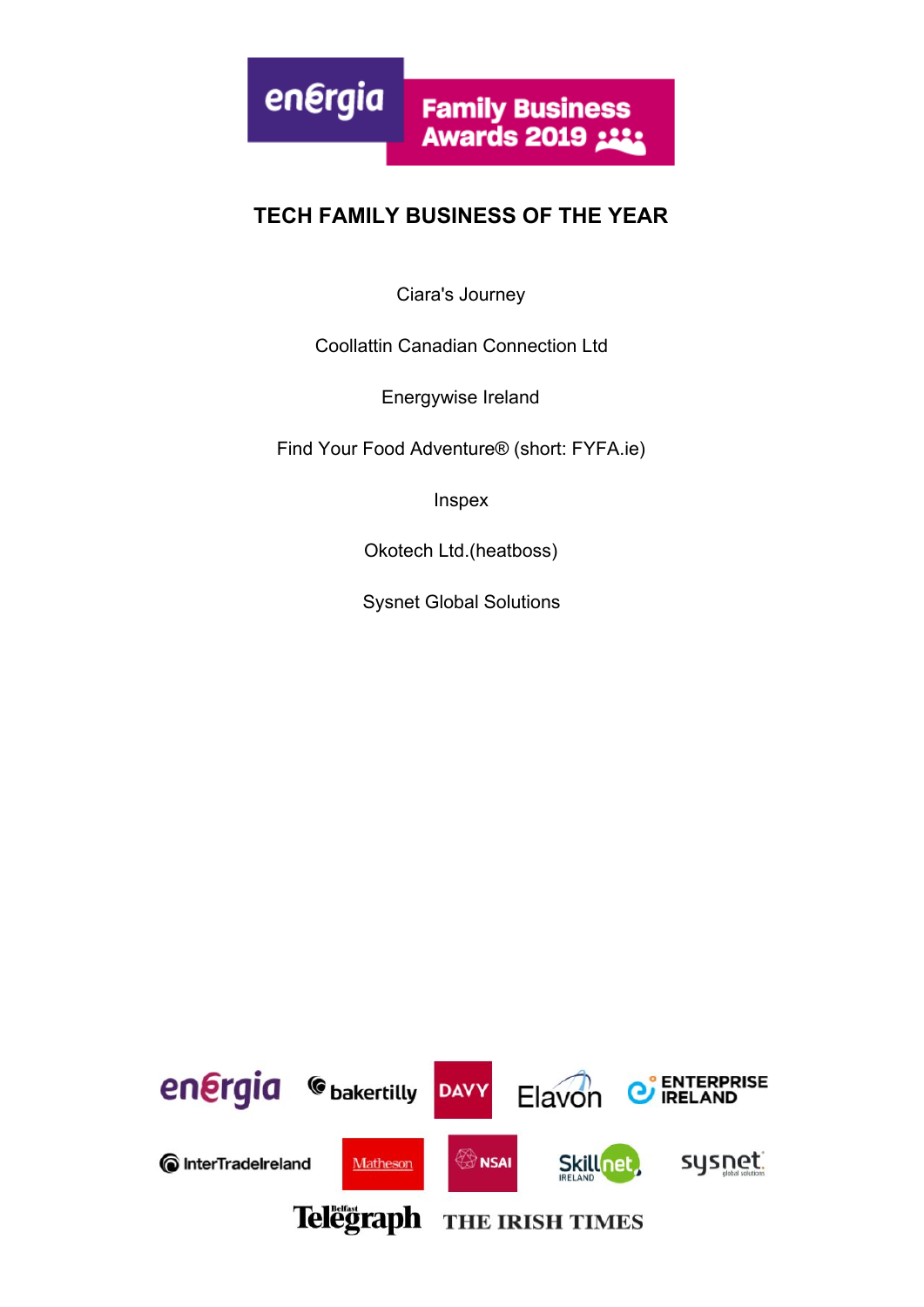## **TECH FAMILY BUSINESS OF THE YEAR**

Ciara's Journey

Coollattin Canadian Connection Ltd

Energywise Ireland

Find Your Food Adventure® (short: FYFA.ie)

Inspex

Okotech Ltd.(heatboss)

Sysnet Global Solutions

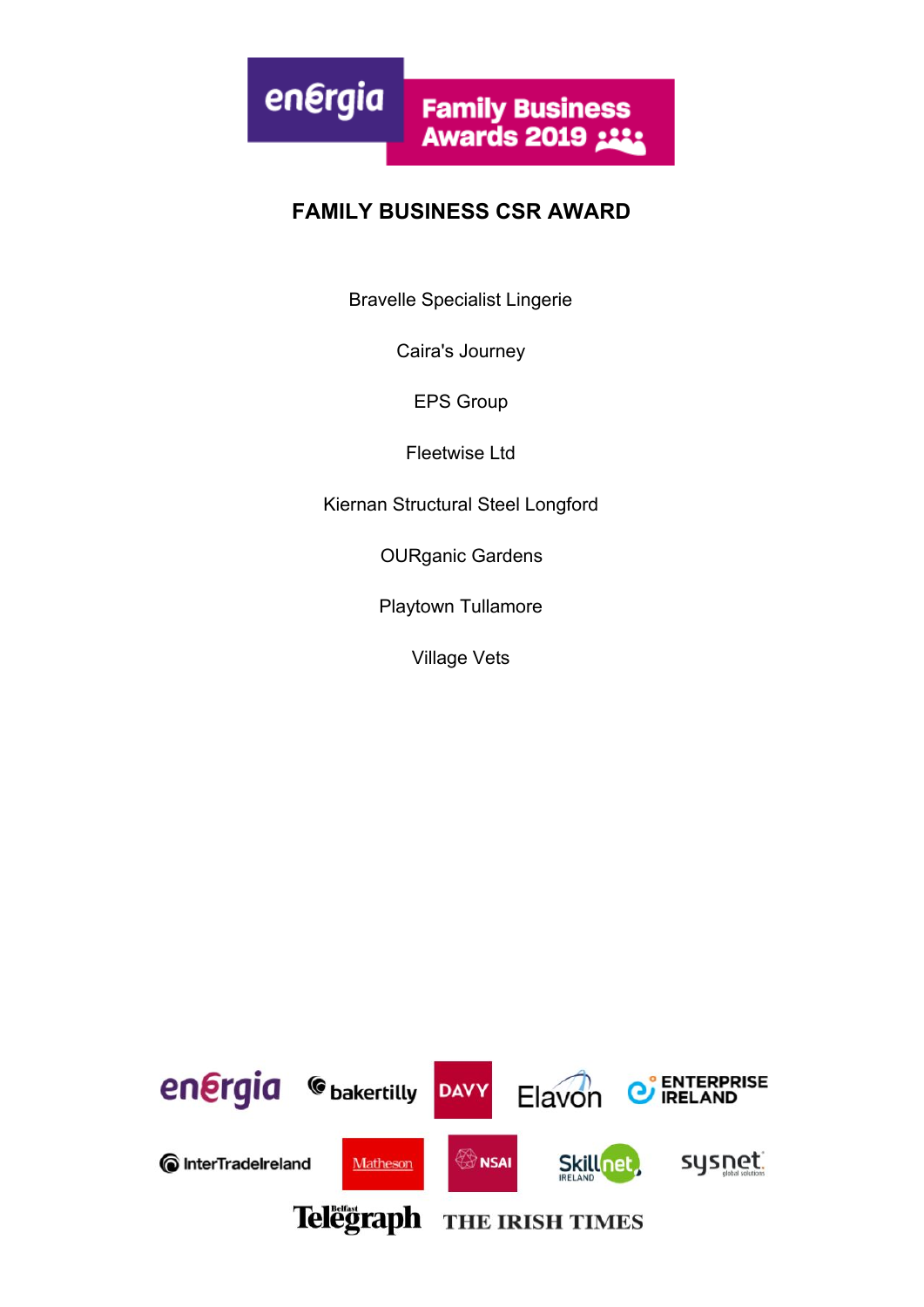

#### **FAMILY BUSINESS CSR AWARD**

Bravelle Specialist Lingerie

Caira's Journey

EPS Group

Fleetwise Ltd

Kiernan Structural Steel Longford

OURganic Gardens

Playtown Tullamore

Village Vets

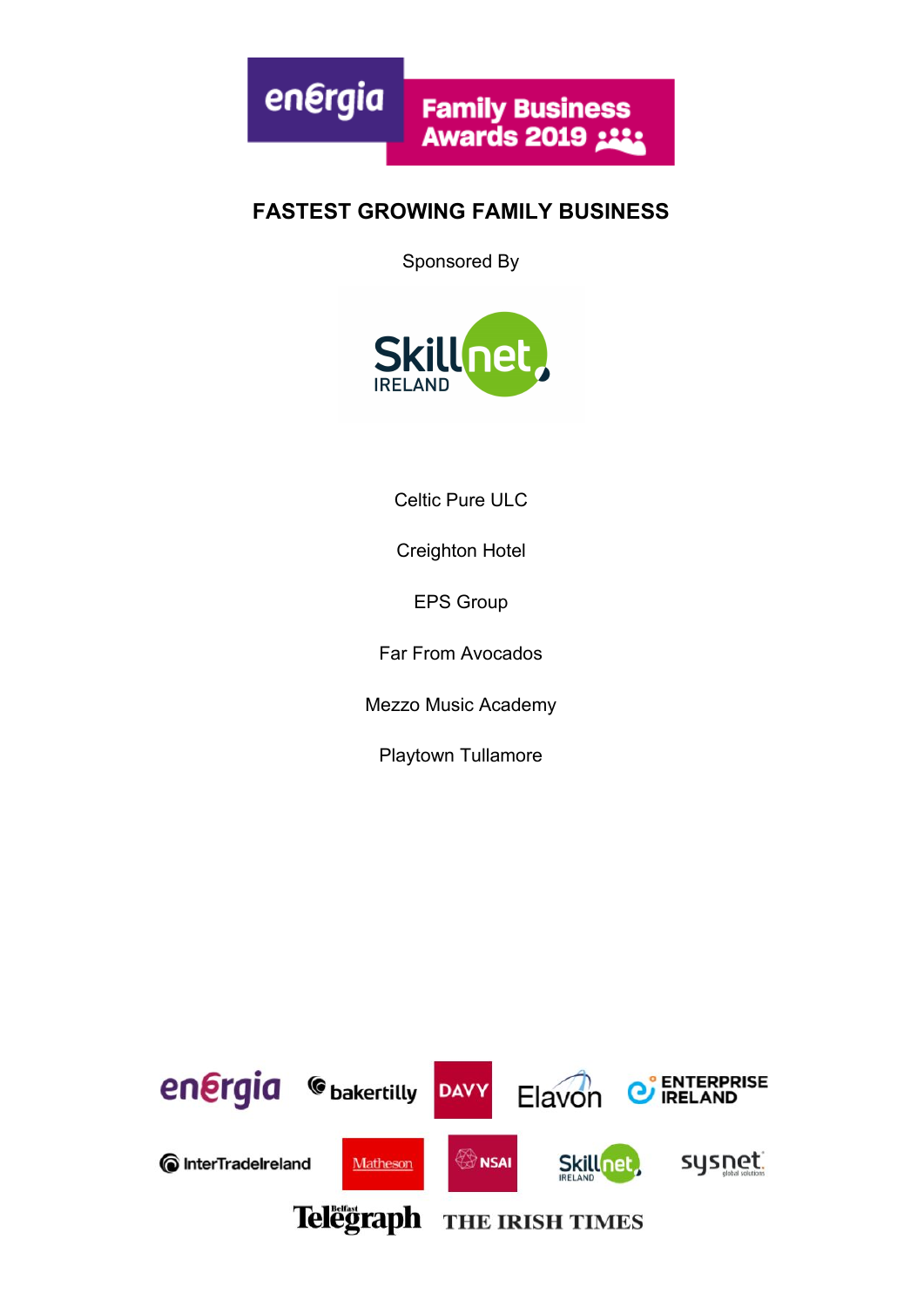

#### **FASTEST GROWING FAMILY BUSINESS**

Sponsored By



Celtic Pure ULC

Creighton Hotel

EPS Group

Far From Avocados

Mezzo Music Academy

Playtown Tullamore

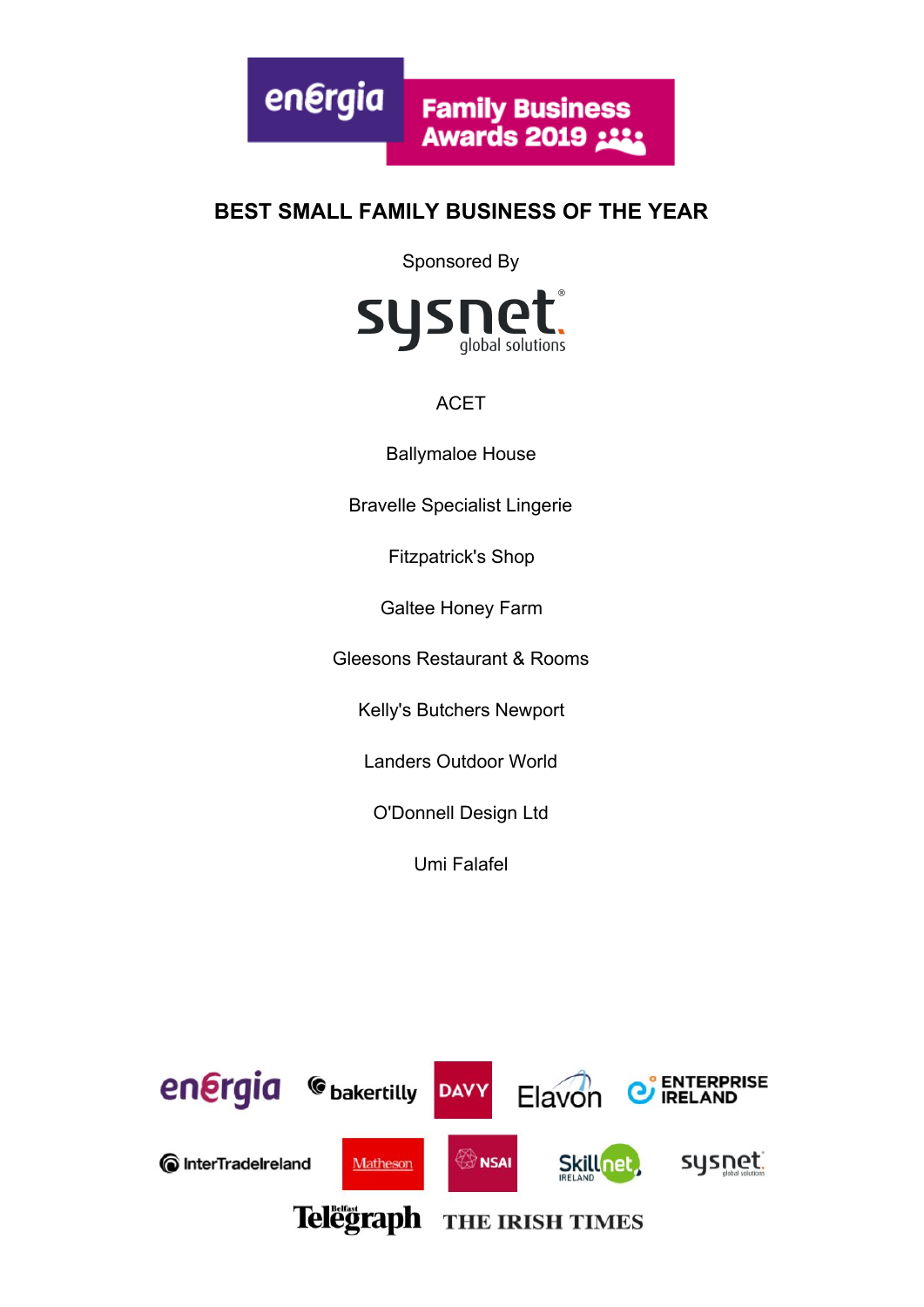

#### **BEST SMALL FAMILY BUSINESS OF THE YEAR**

Sponsored By



#### ACET

Ballymaloe House

Bravelle Specialist Lingerie

Fitzpatrick's Shop

Galtee Honey Farm

Gleesons Restaurant & Rooms

Kelly's Butchers Newport

Landers Outdoor World

O'Donnell Design Ltd

Umi Falafel

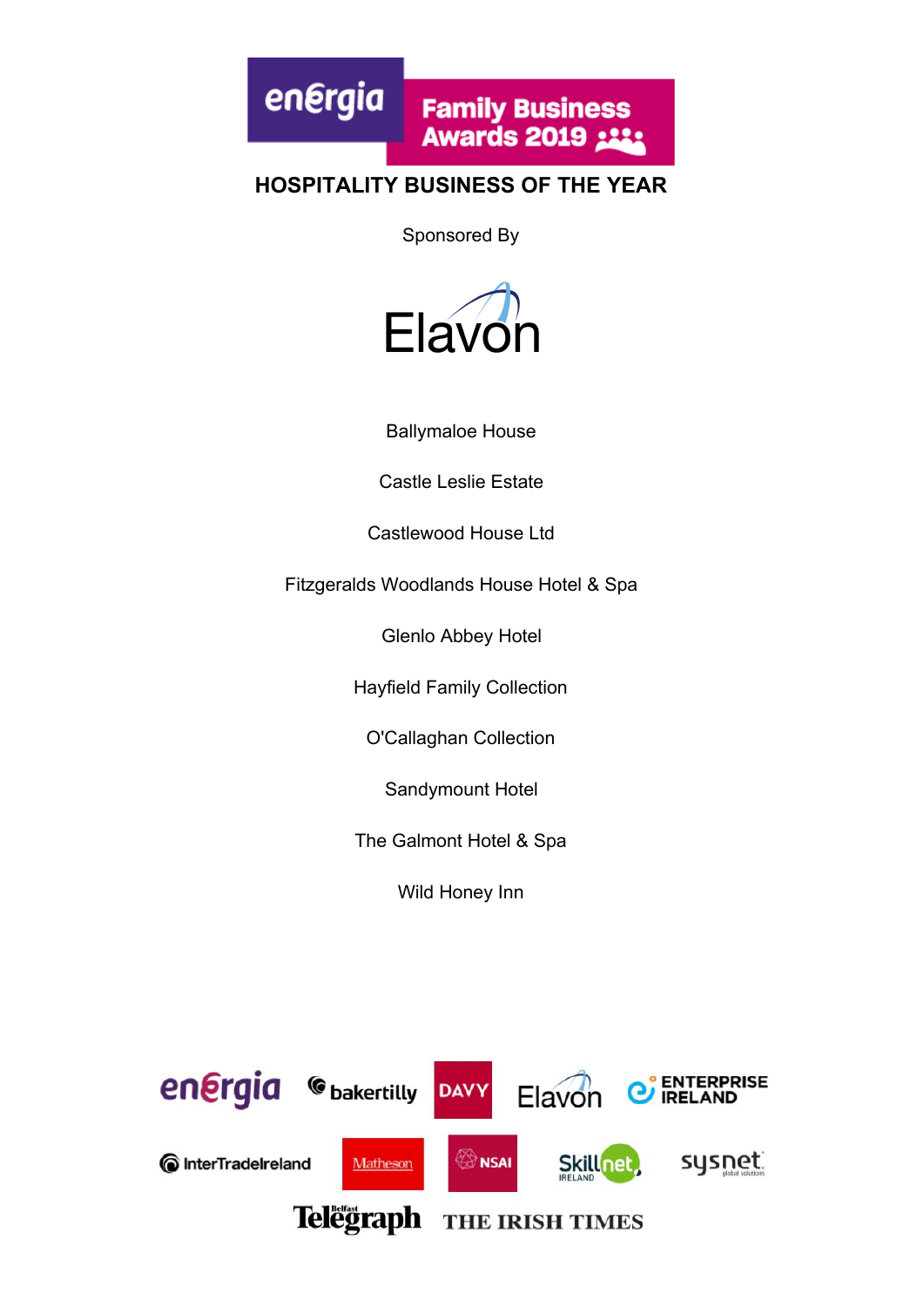energia **Family Business Awards 2019 :33:** 

#### **HOSPITALITY BUSINESS OF THE YEAR**

Sponsored By



Ballymaloe House

Castle Leslie Estate

Castlewood House Ltd

Fitzgeralds Woodlands House Hotel & Spa

Glenlo Abbey Hotel

Hayfield Family Collection

O'Callaghan Collection

Sandymount Hotel

The Galmont Hotel & Spa

Wild Honey Inn

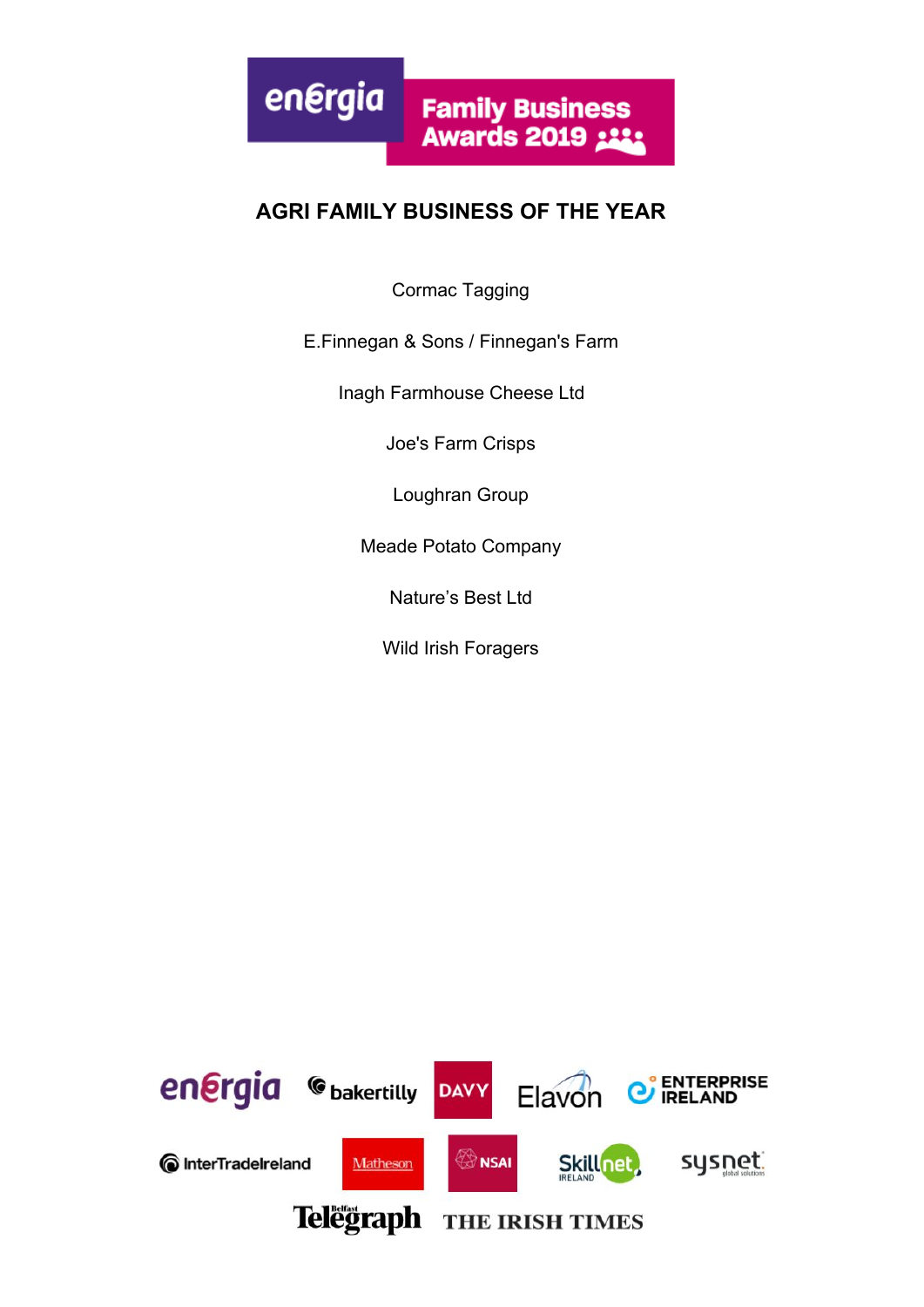

#### **AGRI FAMILY BUSINESS OF THE YEAR**

Cormac Tagging

#### E.Finnegan & Sons / Finnegan's Farm

Inagh Farmhouse Cheese Ltd

Joe's Farm Crisps

Loughran Group

Meade Potato Company

Nature's Best Ltd

Wild Irish Foragers

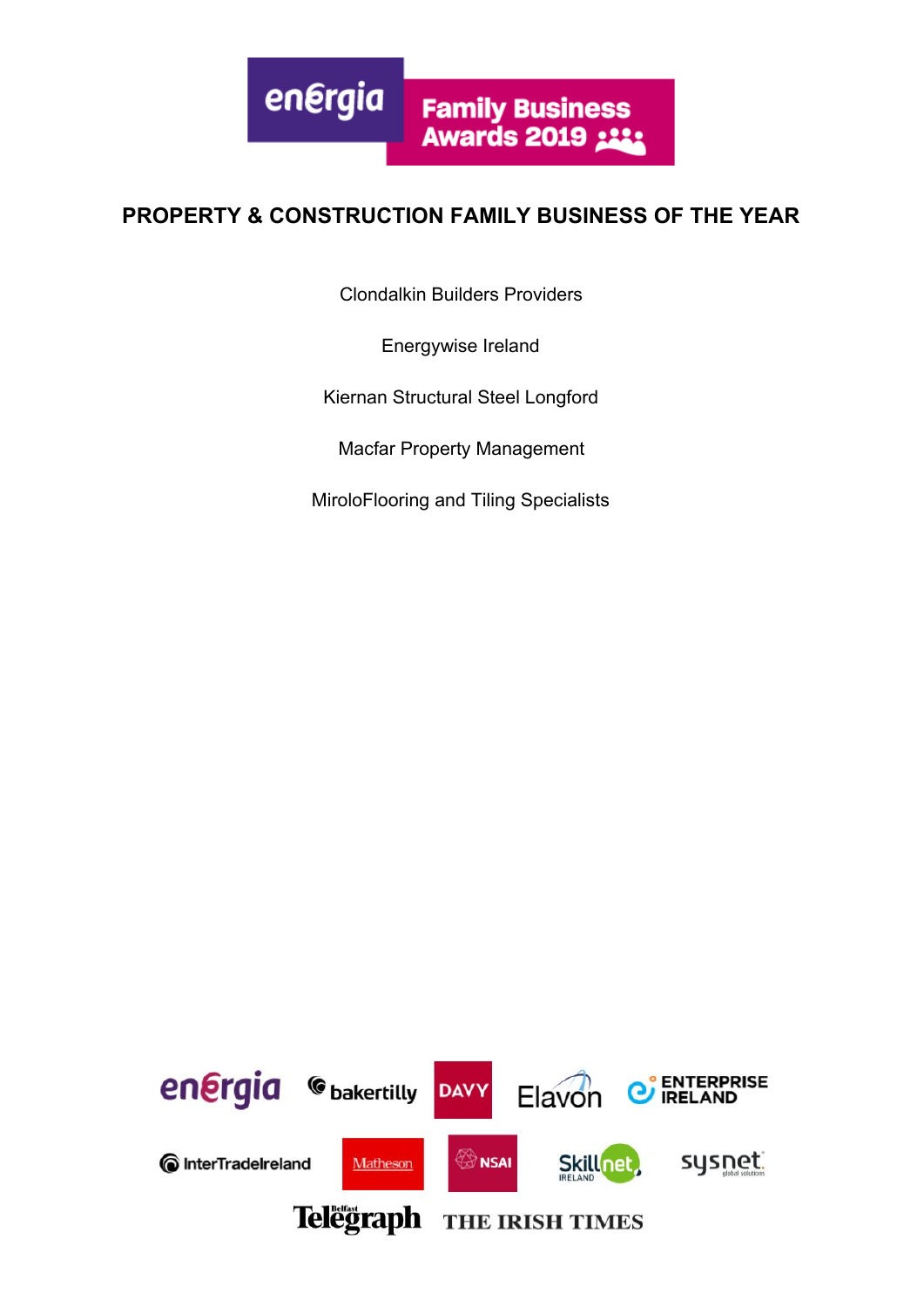

#### **PROPERTY & CONSTRUCTION FAMILY BUSINESS OF THE YEAR**

Clondalkin Builders Providers

Energywise Ireland

Kiernan Structural Steel Longford

Macfar Property Management

MiroloFlooring and Tiling Specialists